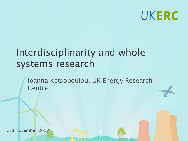

# Interdisciplinarity and whole systems research

Ioanna Ketsopoulou, UK Energy Research **Centre** 

3rd November 2017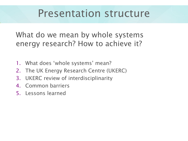# Presentation structure

What do we mean by whole systems energy research? How to achieve it?

- 1. What does 'whole systems' mean?
- 2. The UK Energy Research Centre (UKERC)
- 3. UKERC review of interdisciplinarity
- 4. Common barriers
- 5. Lessons learned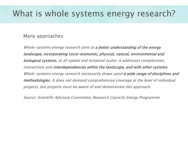#### What is whole systems energy research?

Many approaches:

Whole-systems energy research aims at a better understanding of the energy landscape, incorporating socio-economic, physical, natural, environmental and biological systems, at all spatial and temporal scales. It addresses complexities, interactions and interdependencies within the landscape, and with other systems. Whole-systems energy research necessarily draws upon a wide range of disciplines and methodologies. It does not demand comprehensive coverage at the level of individual projects, but projects must be aware of and demonstrate this approach.

Source: Scientific Advisory Committee, Research Councils Energy Programme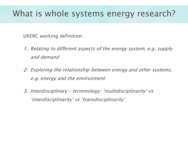### What is whole systems energy research?

UKERC working definition:

- 1. Relating to different aspects of the energy system, e.g. supply and demand
- 2. Exploring the relationship between energy and other systems, e.g. energy and the environment
- 3. Interdisciplinary terminology: 'multidisciplinarity' vs 'interdisciplinarity' vs 'transdisciplinarity'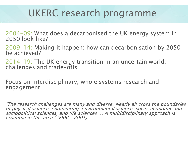# UKERC research programme

2004-09: What does a decarbonised the UK energy system in 2050 look like?

2009-14: Making it happen: how can decarbonisation by 2050 be achieved?

2014-19: The UK energy transition in an uncertain world: challenges and trade-offs

Focus on interdisciplinary, whole systems research and engagement

'The research challenges are many and diverse. Nearly all cross the boundaries of physical science, engineering, environmental science, socio-economic and sociopolitical sciences, and life sciences … A multidisciplinary approach is essential in this area.' (ERRG, 2001)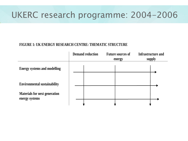### UKERC research programme: 2004-2006

#### **FIGURE 1: UK ENERGY RESEARCH CENTRE: THEMATIC STRUCTURE**

|                                                        | <b>Demand reduction</b> | <b>Future sources of</b><br>energy | <b>Infrastructure and</b><br>supply |
|--------------------------------------------------------|-------------------------|------------------------------------|-------------------------------------|
| <b>Energy systems and modelling</b>                    |                         |                                    |                                     |
| <b>Environmental sustainability</b>                    |                         |                                    |                                     |
| <b>Materials for next generation</b><br>energy systems |                         |                                    |                                     |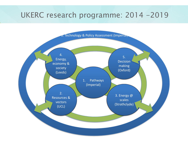#### UKERC research programme: 2014 -2019



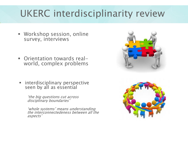# UKERC interdisciplinarity review

- Workshop session, online survey, interviews
- Orientation towards realworld, complex problems
- **EXECT:** interdisciplinary perspective seen by all as essential

'the big questions cut across disciplinary boundaries'

'whole systems' means understanding the interconnectedeness between all the aspects'



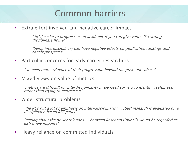## Common barriers

■ Extra effort involved and negative career impact

' [it's] easier to progress as an academic if you can give yourself a strong disciplinary home'

'being interdisciplinary can have negative effects on publication rankings and career prospects'

Particular concerns for early career researchers

'we need more evidence of their progression beyond the post-doc-phase'

**■** Mixed views on value of metrics

'metrics are difficult for interdisciplinarity … we need surveys to identify usefulness, rather than trying to metricise it'

▪ Wider structural problems

'the RCs put a lot of emphasis on inter-disciplinarity … [but] research is evaluated on a disciplinary-based REF panel'

'talking about the power relations … between Research Councils would be regarded as extremely impolite'

Heavy reliance on committed individuals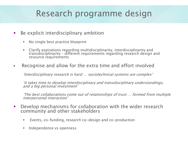# Research programme design

- Be explicit interdisciplinary ambition
	- No single best practice blueprint
	- **EXEC** Clarify aspirations regarding multidisciplinarity, interdisciplinarity and transdisciplinarity – different requirements regarding research design and resource requirements
- Recognise and allow for the extra time and effort involved

'Interdisciplinary research is hard … sociotechnical systems are complex'

'it takes time to develop interdisciplinary and transdisciplinary understandings, and a big personal investment'

'The best collaborations come out of relationships of trust … formed from multiple interpersonal interaction'

- Develop mechanisms for collaboration with the wider research community and other stakeholders
	- Events, co-funding, research co-design and co-production
	- **·** Independence vs openness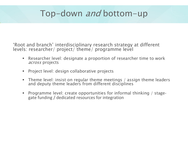# Top-down and bottom-up

'Root and branch' interdisciplinary research strategy at different levels: researcher/ project/ theme/ programme level

- Researcher level: designate a proportion of researcher time to work across projects
- Project level: design collaborative projects
- **•** Theme level: insist on regular theme meetings / assign theme leaders and deputy theme leaders from different disciplines
- Programme level: create opportunities for informal thinking / stagegate funding / dedicated resources for integration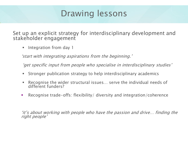# Drawing lessons

Set up an explicit strategy for interdisciplinary development and stakeholder engagement

Integration from day 1

'start with integrating aspirations from the beginning.'

'get specific input from people who specialise in interdisciplinary studies'

- Stronger publication strategy to help interdisciplinary academics
- Recognise the wider structural issues... serve the individual needs of different funders?
- Recognise trade-offs: flexibility/ diversity and integration/coherence

'it's about working with people who have the passion and drive… finding the right people'